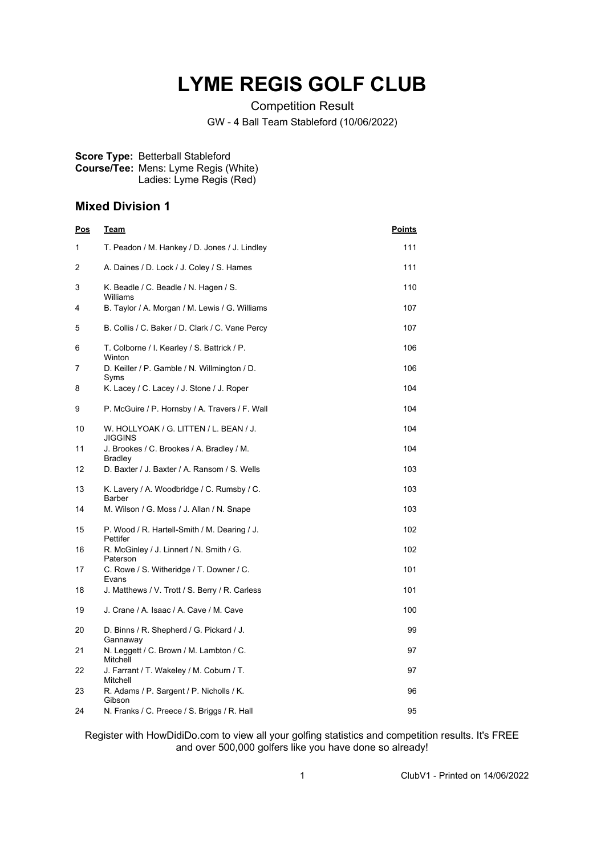## **LYME REGIS GOLF CLUB**

Competition Result

GW - 4 Ball Team Stableford (10/06/2022)

## **Score Type:** Betterball Stableford **Course/Tee:** Mens: Lyme Regis (White) Ladies: Lyme Regis (Red)

## **Mixed Division 1**

| <u>Pos</u> | <u>Team</u>                                              | <u>Points</u> |
|------------|----------------------------------------------------------|---------------|
| 1          | T. Peadon / M. Hankey / D. Jones / J. Lindley            | 111           |
| 2          | A. Daines / D. Lock / J. Coley / S. Hames                | 111           |
| 3          | K. Beadle / C. Beadle / N. Hagen / S.<br>Williams        | 110           |
| 4          | B. Taylor / A. Morgan / M. Lewis / G. Williams           | 107           |
| 5          | B. Collis / C. Baker / D. Clark / C. Vane Percy          | 107           |
| 6          | T. Colborne / I. Kearley / S. Battrick / P.<br>Winton    | 106           |
| 7          | D. Keiller / P. Gamble / N. Willmington / D.<br>Syms     | 106           |
| 8          | K. Lacey / C. Lacey / J. Stone / J. Roper                | 104           |
| 9          | P. McGuire / P. Hornsby / A. Travers / F. Wall           | 104           |
| 10         | W. HOLLYOAK / G. LITTEN / L. BEAN / J.<br>JIGGINS        | 104           |
| 11         | J. Brookes / C. Brookes / A. Bradley / M.<br>Bradley     | 104           |
| 12         | D. Baxter / J. Baxter / A. Ransom / S. Wells             | 103           |
| 13         | K. Lavery / A. Woodbridge / C. Rumsby / C.<br>Barber     | 103           |
| 14         | M. Wilson / G. Moss / J. Allan / N. Snape                | 103           |
| 15         | P. Wood / R. Hartell-Smith / M. Dearing / J.<br>Pettifer | 102           |
| 16         | R. McGinley / J. Linnert / N. Smith / G.<br>Paterson     | 102           |
| 17         | C. Rowe / S. Witheridge / T. Downer / C.<br>Evans        | 101           |
| 18         | J. Matthews / V. Trott / S. Berry / R. Carless           | 101           |
| 19         | J. Crane / A. Isaac / A. Cave / M. Cave                  | 100           |
| 20         | D. Binns / R. Shepherd / G. Pickard / J.<br>Gannaway     | 99            |
| 21         | N. Leggett / C. Brown / M. Lambton / C.<br>Mitchell      | 97            |
| 22         | J. Farrant / T. Wakeley / M. Coburn / T.<br>Mitchell     | 97            |
| 23         | R. Adams / P. Sargent / P. Nicholls / K.<br>Gibson       | 96            |
| 24         | N. Franks / C. Preece / S. Briggs / R. Hall              | 95            |

Register with HowDidiDo.com to view all your golfing statistics and competition results. It's FREE and over 500,000 golfers like you have done so already!